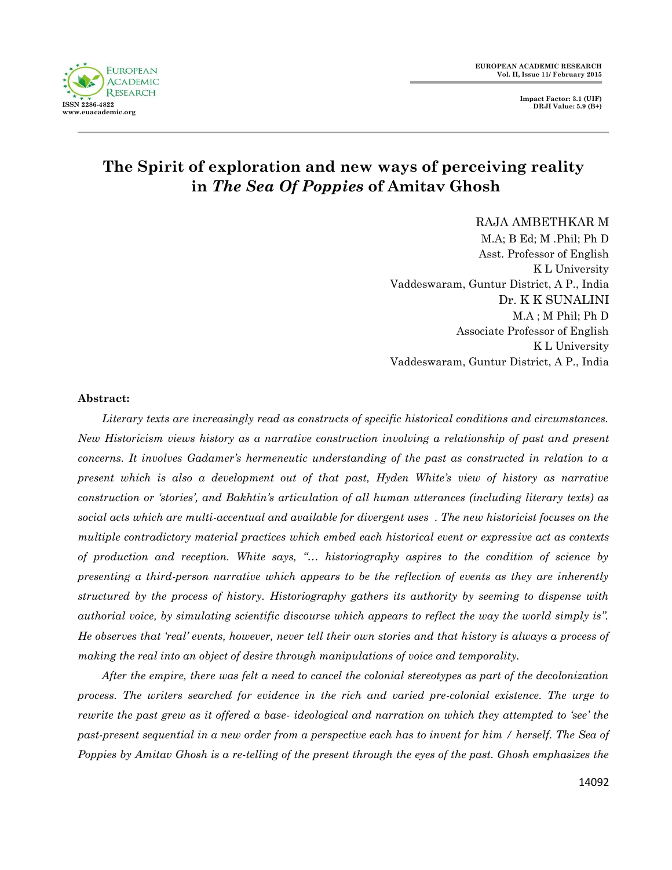**EUROPEAN ACADEMIC RESEARCH Vol. II, Issue 11/ February 2015**

> **Impact Factor: 3.1 (UIF) DRJI Value: 5.9 (B+)**



# **The Spirit of exploration and new ways of perceiving reality in** *The Sea Of Poppies* **of Amitav Ghosh**

RAJA AMBETHKAR M

M.A; B Ed; M .Phil; Ph D Asst. Professor of English K L University Vaddeswaram, Guntur District, A P., India Dr. K K SUNALINI M.A ; M Phil; Ph D Associate Professor of English K L University Vaddeswaram, Guntur District, A P., India

#### **Abstract:**

*Literary texts are increasingly read as constructs of specific historical conditions and circumstances. New Historicism views history as a narrative construction involving a relationship of past and present concerns. It involves Gadamer"s hermeneutic understanding of the past as constructed in relation to a present which is also a development out of that past, Hyden White"s view of history as narrative construction or "stories", and Bakhtin"s articulation of all human utterances (including literary texts) as social acts which are multi-accentual and available for divergent uses . The new historicist focuses on the multiple contradictory material practices which embed each historical event or expressive act as contexts of production and reception. White says, "… historiography aspires to the condition of science by presenting a third-person narrative which appears to be the reflection of events as they are inherently structured by the process of history. Historiography gathers its authority by seeming to dispense with authorial voice, by simulating scientific discourse which appears to reflect the way the world simply is". He observes that "real" events, however, never tell their own stories and that history is always a process of making the real into an object of desire through manipulations of voice and temporality.*

*After the empire, there was felt a need to cancel the colonial stereotypes as part of the decolonization process. The writers searched for evidence in the rich and varied pre-colonial existence. The urge to rewrite the past grew as it offered a base- ideological and narration on which they attempted to "see" the past-present sequential in a new order from a perspective each has to invent for him / herself. The Sea of Poppies by Amitav Ghosh is a re-telling of the present through the eyes of the past. Ghosh emphasizes the*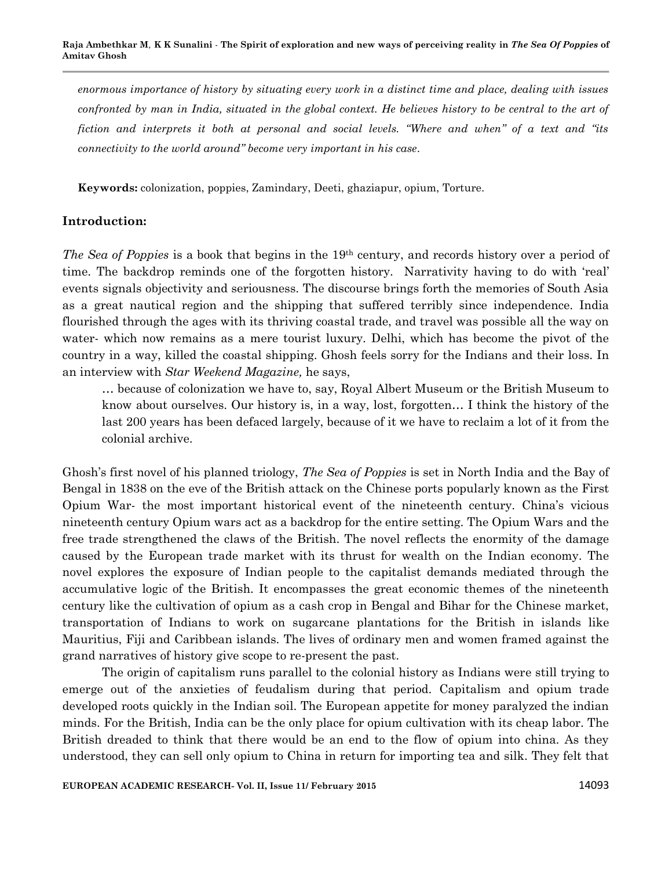*enormous importance of history by situating every work in a distinct time and place, dealing with issues confronted by man in India, situated in the global context. He believes history to be central to the art of fiction and interprets it both at personal and social levels. "Where and when" of a text and "its connectivity to the world around" become very important in his case.* 

**Keywords:** colonization, poppies, Zamindary, Deeti, ghaziapur, opium, Torture.

### **Introduction:**

*The Sea of Poppies* is a book that begins in the 19th century, and records history over a period of time. The backdrop reminds one of the forgotten history. Narrativity having to do with 'real' events signals objectivity and seriousness. The discourse brings forth the memories of South Asia as a great nautical region and the shipping that suffered terribly since independence. India flourished through the ages with its thriving coastal trade, and travel was possible all the way on water- which now remains as a mere tourist luxury. Delhi, which has become the pivot of the country in a way, killed the coastal shipping. Ghosh feels sorry for the Indians and their loss. In an interview with *Star Weekend Magazine,* he says,

… because of colonization we have to, say, Royal Albert Museum or the British Museum to know about ourselves. Our history is, in a way, lost, forgotten… I think the history of the last 200 years has been defaced largely, because of it we have to reclaim a lot of it from the colonial archive.

Ghosh's first novel of his planned triology, *The Sea of Poppies* is set in North India and the Bay of Bengal in 1838 on the eve of the British attack on the Chinese ports popularly known as the First Opium War- the most important historical event of the nineteenth century. China's vicious nineteenth century Opium wars act as a backdrop for the entire setting. The Opium Wars and the free trade strengthened the claws of the British. The novel reflects the enormity of the damage caused by the European trade market with its thrust for wealth on the Indian economy. The novel explores the exposure of Indian people to the capitalist demands mediated through the accumulative logic of the British. It encompasses the great economic themes of the nineteenth century like the cultivation of opium as a cash crop in Bengal and Bihar for the Chinese market, transportation of Indians to work on sugarcane plantations for the British in islands like Mauritius, Fiji and Caribbean islands. The lives of ordinary men and women framed against the grand narratives of history give scope to re-present the past.

The origin of capitalism runs parallel to the colonial history as Indians were still trying to emerge out of the anxieties of feudalism during that period. Capitalism and opium trade developed roots quickly in the Indian soil. The European appetite for money paralyzed the indian minds. For the British, India can be the only place for opium cultivation with its cheap labor. The British dreaded to think that there would be an end to the flow of opium into china. As they understood, they can sell only opium to China in return for importing tea and silk. They felt that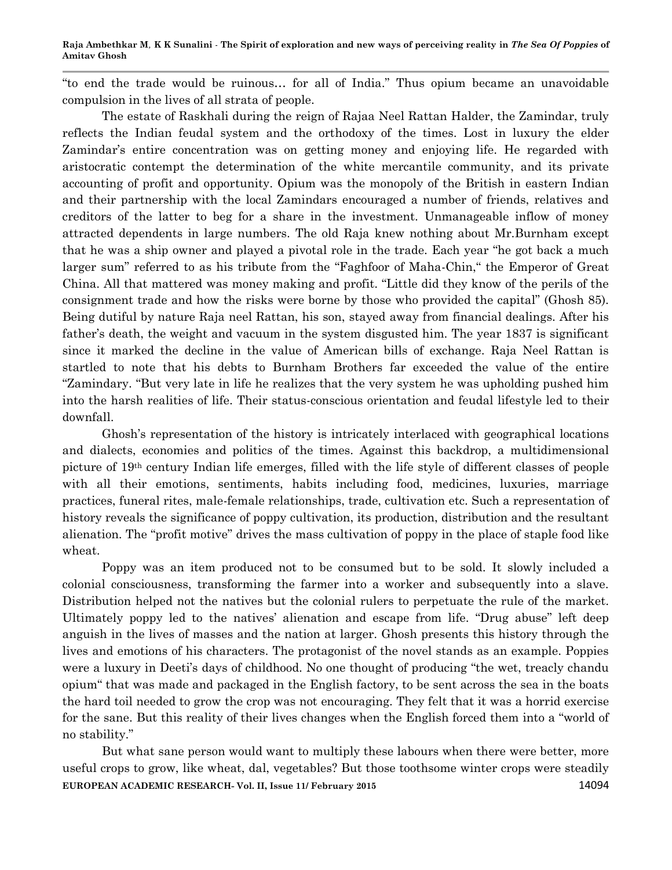―to end the trade would be ruinous… for all of India.‖ Thus opium became an unavoidable compulsion in the lives of all strata of people.

The estate of Raskhali during the reign of Rajaa Neel Rattan Halder, the Zamindar, truly reflects the Indian feudal system and the orthodoxy of the times. Lost in luxury the elder Zamindar's entire concentration was on getting money and enjoying life. He regarded with aristocratic contempt the determination of the white mercantile community, and its private accounting of profit and opportunity. Opium was the monopoly of the British in eastern Indian and their partnership with the local Zamindars encouraged a number of friends, relatives and creditors of the latter to beg for a share in the investment. Unmanageable inflow of money attracted dependents in large numbers. The old Raja knew nothing about Mr.Burnham except that he was a ship owner and played a pivotal role in the trade. Each year "he got back a much" larger sum" referred to as his tribute from the "Faghfoor of Maha-Chin," the Emperor of Great China. All that mattered was money making and profit. "Little did they know of the perils of the consignment trade and how the risks were borne by those who provided the capital" (Ghosh 85). Being dutiful by nature Raja neel Rattan, his son, stayed away from financial dealings. After his father's death, the weight and vacuum in the system disgusted him. The year 1837 is significant since it marked the decline in the value of American bills of exchange. Raja Neel Rattan is startled to note that his debts to Burnham Brothers far exceeded the value of the entire ―Zamindary. ―But very late in life he realizes that the very system he was upholding pushed him into the harsh realities of life. Their status-conscious orientation and feudal lifestyle led to their downfall.

Ghosh's representation of the history is intricately interlaced with geographical locations and dialects, economies and politics of the times. Against this backdrop, a multidimensional picture of 19th century Indian life emerges, filled with the life style of different classes of people with all their emotions, sentiments, habits including food, medicines, luxuries, marriage practices, funeral rites, male-female relationships, trade, cultivation etc. Such a representation of history reveals the significance of poppy cultivation, its production, distribution and the resultant alienation. The "profit motive" drives the mass cultivation of poppy in the place of staple food like wheat.

Poppy was an item produced not to be consumed but to be sold. It slowly included a colonial consciousness, transforming the farmer into a worker and subsequently into a slave. Distribution helped not the natives but the colonial rulers to perpetuate the rule of the market. Ultimately poppy led to the natives' alienation and escape from life. "Drug abuse" left deep anguish in the lives of masses and the nation at larger. Ghosh presents this history through the lives and emotions of his characters. The protagonist of the novel stands as an example. Poppies were a luxury in Deeti's days of childhood. No one thought of producing "the wet, treacly chandu opium― that was made and packaged in the English factory, to be sent across the sea in the boats the hard toil needed to grow the crop was not encouraging. They felt that it was a horrid exercise for the sane. But this reality of their lives changes when the English forced them into a "world of no stability."

**EUROPEAN ACADEMIC RESEARCH- Vol. II, Issue 11/ February 2015** 14094 But what sane person would want to multiply these labours when there were better, more useful crops to grow, like wheat, dal, vegetables? But those toothsome winter crops were steadily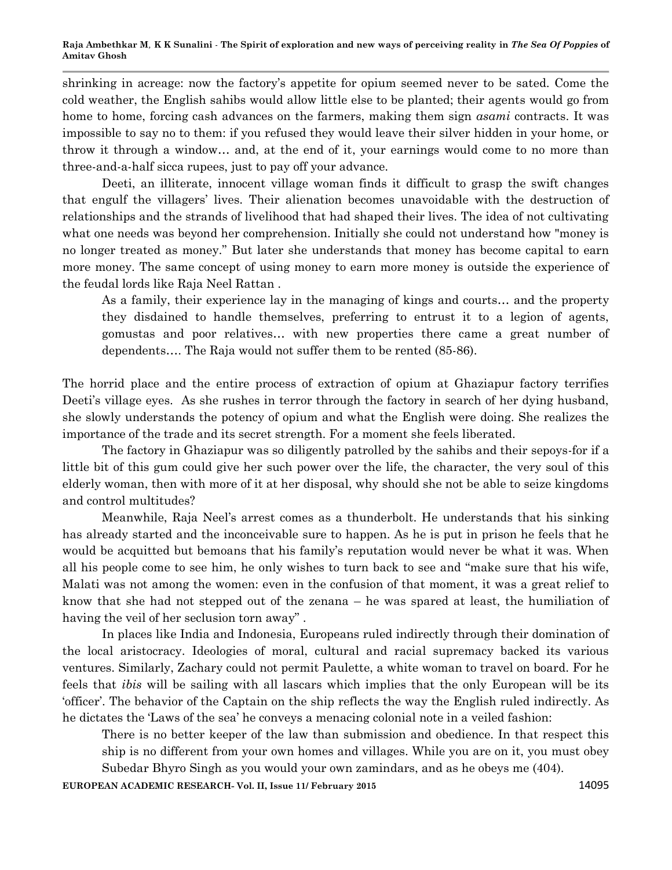shrinking in acreage: now the factory's appetite for opium seemed never to be sated. Come the cold weather, the English sahibs would allow little else to be planted; their agents would go from home to home, forcing cash advances on the farmers, making them sign *asami* contracts. It was impossible to say no to them: if you refused they would leave their silver hidden in your home, or throw it through a window… and, at the end of it, your earnings would come to no more than three-and-a-half sicca rupees, just to pay off your advance.

Deeti, an illiterate, innocent village woman finds it difficult to grasp the swift changes that engulf the villagers' lives. Their alienation becomes unavoidable with the destruction of relationships and the strands of livelihood that had shaped their lives. The idea of not cultivating what one needs was beyond her comprehension. Initially she could not understand how "money is no longer treated as money." But later she understands that money has become capital to earn more money. The same concept of using money to earn more money is outside the experience of the feudal lords like Raja Neel Rattan .

As a family, their experience lay in the managing of kings and courts… and the property they disdained to handle themselves, preferring to entrust it to a legion of agents, gomustas and poor relatives… with new properties there came a great number of dependents…. The Raja would not suffer them to be rented (85-86).

The horrid place and the entire process of extraction of opium at Ghaziapur factory terrifies Deeti's village eyes. As she rushes in terror through the factory in search of her dying husband, she slowly understands the potency of opium and what the English were doing. She realizes the importance of the trade and its secret strength. For a moment she feels liberated.

The factory in Ghaziapur was so diligently patrolled by the sahibs and their sepoys-for if a little bit of this gum could give her such power over the life, the character, the very soul of this elderly woman, then with more of it at her disposal, why should she not be able to seize kingdoms and control multitudes?

Meanwhile, Raja Neel's arrest comes as a thunderbolt. He understands that his sinking has already started and the inconceivable sure to happen. As he is put in prison he feels that he would be acquitted but bemoans that his family's reputation would never be what it was. When all his people come to see him, he only wishes to turn back to see and "make sure that his wife, Malati was not among the women: even in the confusion of that moment, it was a great relief to know that she had not stepped out of the zenana – he was spared at least, the humiliation of having the veil of her seclusion torn away".

In places like India and Indonesia, Europeans ruled indirectly through their domination of the local aristocracy. Ideologies of moral, cultural and racial supremacy backed its various ventures. Similarly, Zachary could not permit Paulette, a white woman to travel on board. For he feels that *ibis* will be sailing with all lascars which implies that the only European will be its ‗officer'. The behavior of the Captain on the ship reflects the way the English ruled indirectly. As he dictates the 'Laws of the sea' he conveys a menacing colonial note in a veiled fashion:

There is no better keeper of the law than submission and obedience. In that respect this ship is no different from your own homes and villages. While you are on it, you must obey Subedar Bhyro Singh as you would your own zamindars, and as he obeys me (404).

**EUROPEAN ACADEMIC RESEARCH- Vol. II, Issue 11/ February 2015** 14095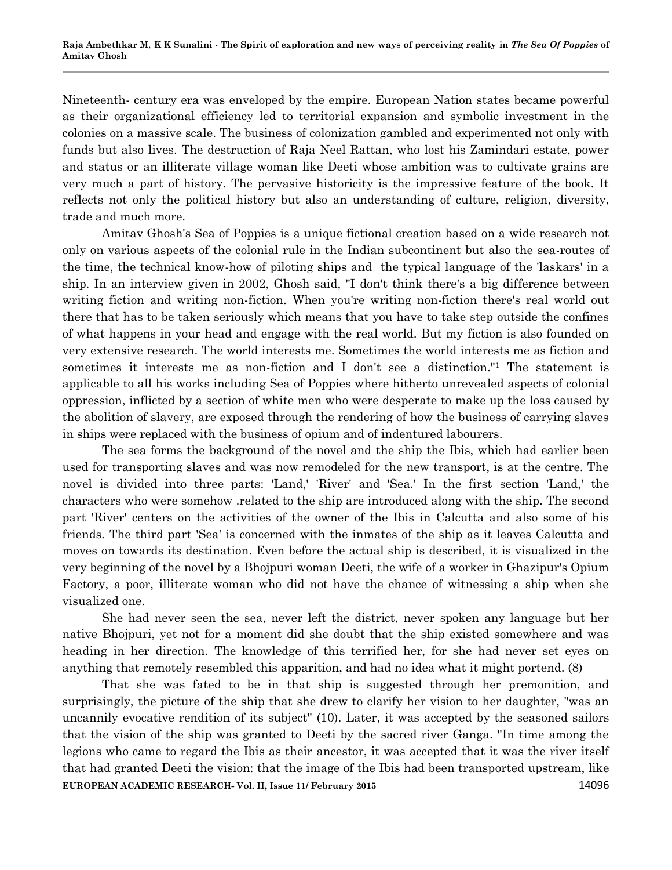Nineteenth- century era was enveloped by the empire. European Nation states became powerful as their organizational efficiency led to territorial expansion and symbolic investment in the colonies on a massive scale. The business of colonization gambled and experimented not only with funds but also lives. The destruction of Raja Neel Rattan, who lost his Zamindari estate, power and status or an illiterate village woman like Deeti whose ambition was to cultivate grains are very much a part of history. The pervasive historicity is the impressive feature of the book. It reflects not only the political history but also an understanding of culture, religion, diversity, trade and much more.

Amitav Ghosh's Sea of Poppies is a unique fictional creation based on a wide research not only on various aspects of the colonial rule in the Indian subcontinent but also the sea-routes of the time, the technical know-how of piloting ships and the typical language of the 'laskars' in a ship. In an interview given in 2002, Ghosh said, "I don't think there's a big difference between writing fiction and writing non-fiction. When you're writing non-fiction there's real world out there that has to be taken seriously which means that you have to take step outside the confines of what happens in your head and engage with the real world. But my fiction is also founded on very extensive research. The world interests me. Sometimes the world interests me as fiction and sometimes it interests me as non-fiction and I don't see a distinction."<sup>1</sup> The statement is applicable to all his works including Sea of Poppies where hitherto unrevealed aspects of colonial oppression, inflicted by a section of white men who were desperate to make up the loss caused by the abolition of slavery, are exposed through the rendering of how the business of carrying slaves in ships were replaced with the business of opium and of indentured labourers.

The sea forms the background of the novel and the ship the Ibis, which had earlier been used for transporting slaves and was now remodeled for the new transport, is at the centre. The novel is divided into three parts: 'Land,' 'River' and 'Sea.' In the first section 'Land,' the characters who were somehow .related to the ship are introduced along with the ship. The second part 'River' centers on the activities of the owner of the Ibis in Calcutta and also some of his friends. The third part 'Sea' is concerned with the inmates of the ship as it leaves Calcutta and moves on towards its destination. Even before the actual ship is described, it is visualized in the very beginning of the novel by a Bhojpuri woman Deeti, the wife of a worker in Ghazipur's Opium Factory, a poor, illiterate woman who did not have the chance of witnessing a ship when she visualized one.

She had never seen the sea, never left the district, never spoken any language but her native Bhojpuri, yet not for a moment did she doubt that the ship existed somewhere and was heading in her direction. The knowledge of this terrified her, for she had never set eyes on anything that remotely resembled this apparition, and had no idea what it might portend. (8)

**EUROPEAN ACADEMIC RESEARCH- Vol. II, Issue 11/ February 2015** 14096 That she was fated to be in that ship is suggested through her premonition, and surprisingly, the picture of the ship that she drew to clarify her vision to her daughter, "was an uncannily evocative rendition of its subject" (10). Later, it was accepted by the seasoned sailors that the vision of the ship was granted to Deeti by the sacred river Ganga. "In time among the legions who came to regard the Ibis as their ancestor, it was accepted that it was the river itself that had granted Deeti the vision: that the image of the Ibis had been transported upstream, like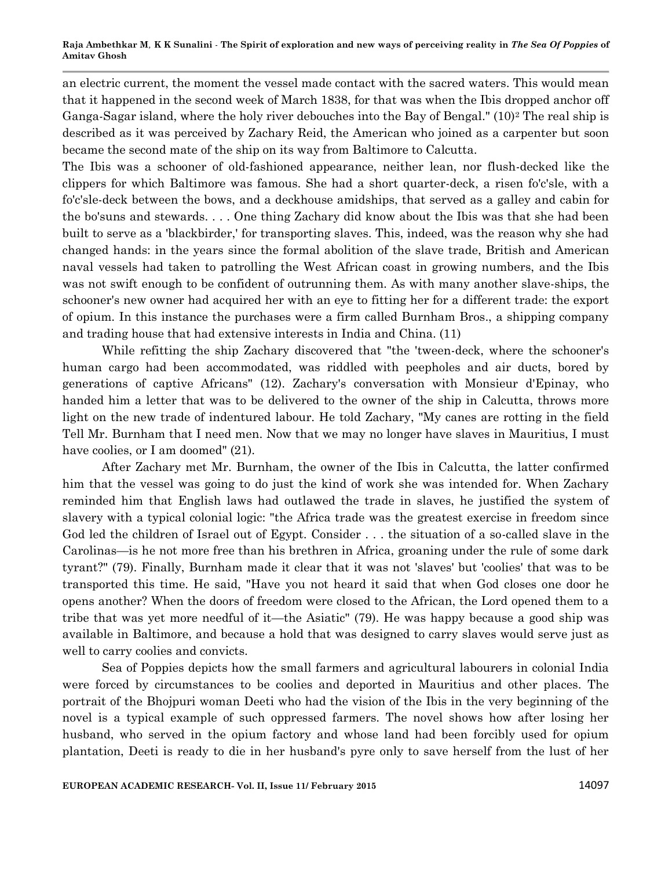an electric current, the moment the vessel made contact with the sacred waters. This would mean that it happened in the second week of March 1838, for that was when the Ibis dropped anchor off Ganga-Sagar island, where the holy river debouches into the Bay of Bengal."  $(10)^2$  The real ship is described as it was perceived by Zachary Reid, the American who joined as a carpenter but soon became the second mate of the ship on its way from Baltimore to Calcutta.

The Ibis was a schooner of old-fashioned appearance, neither lean, nor flush-decked like the clippers for which Baltimore was famous. She had a short quarter-deck, a risen fo'c'sle, with a fo'c'sle-deck between the bows, and a deckhouse amidships, that served as a galley and cabin for the bo'suns and stewards. . . . One thing Zachary did know about the Ibis was that she had been built to serve as a 'blackbirder,' for transporting slaves. This, indeed, was the reason why she had changed hands: in the years since the formal abolition of the slave trade, British and American naval vessels had taken to patrolling the West African coast in growing numbers, and the Ibis was not swift enough to be confident of outrunning them. As with many another slave-ships, the schooner's new owner had acquired her with an eye to fitting her for a different trade: the export of opium. In this instance the purchases were a firm called Burnham Bros., a shipping company and trading house that had extensive interests in India and China. (11)

While refitting the ship Zachary discovered that "the 'tween-deck, where the schooner's human cargo had been accommodated, was riddled with peepholes and air ducts, bored by generations of captive Africans" (12). Zachary's conversation with Monsieur d'Epinay, who handed him a letter that was to be delivered to the owner of the ship in Calcutta, throws more light on the new trade of indentured labour. He told Zachary, "My canes are rotting in the field Tell Mr. Burnham that I need men. Now that we may no longer have slaves in Mauritius, I must have coolies, or I am doomed"  $(21)$ .

After Zachary met Mr. Burnham, the owner of the Ibis in Calcutta, the latter confirmed him that the vessel was going to do just the kind of work she was intended for. When Zachary reminded him that English laws had outlawed the trade in slaves, he justified the system of slavery with a typical colonial logic: "the Africa trade was the greatest exercise in freedom since God led the children of Israel out of Egypt. Consider . . . the situation of a so-called slave in the Carolinas—is he not more free than his brethren in Africa, groaning under the rule of some dark tyrant?" (79). Finally, Burnham made it clear that it was not 'slaves' but 'coolies' that was to be transported this time. He said, "Have you not heard it said that when God closes one door he opens another? When the doors of freedom were closed to the African, the Lord opened them to a tribe that was yet more needful of it—the Asiatic" (79). He was happy because a good ship was available in Baltimore, and because a hold that was designed to carry slaves would serve just as well to carry coolies and convicts.

Sea of Poppies depicts how the small farmers and agricultural labourers in colonial India were forced by circumstances to be coolies and deported in Mauritius and other places. The portrait of the Bhojpuri woman Deeti who had the vision of the Ibis in the very beginning of the novel is a typical example of such oppressed farmers. The novel shows how after losing her husband, who served in the opium factory and whose land had been forcibly used for opium plantation, Deeti is ready to die in her husband's pyre only to save herself from the lust of her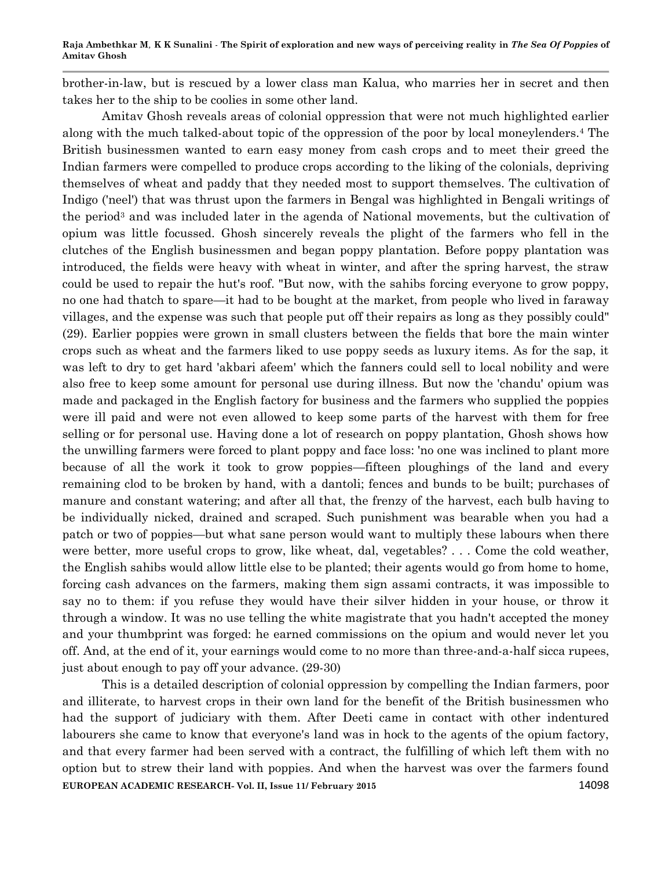brother-in-law, but is rescued by a lower class man Kalua, who marries her in secret and then takes her to the ship to be coolies in some other land.

Amitav Ghosh reveals areas of colonial oppression that were not much highlighted earlier along with the much talked-about topic of the oppression of the poor by local moneylenders.<sup>4</sup> The British businessmen wanted to earn easy money from cash crops and to meet their greed the Indian farmers were compelled to produce crops according to the liking of the colonials, depriving themselves of wheat and paddy that they needed most to support themselves. The cultivation of Indigo ('neel') that was thrust upon the farmers in Bengal was highlighted in Bengali writings of the period<sup>3</sup> and was included later in the agenda of National movements, but the cultivation of opium was little focussed. Ghosh sincerely reveals the plight of the farmers who fell in the clutches of the English businessmen and began poppy plantation. Before poppy plantation was introduced, the fields were heavy with wheat in winter, and after the spring harvest, the straw could be used to repair the hut's roof. "But now, with the sahibs forcing everyone to grow poppy, no one had thatch to spare—it had to be bought at the market, from people who lived in faraway villages, and the expense was such that people put off their repairs as long as they possibly could" (29). Earlier poppies were grown in small clusters between the fields that bore the main winter crops such as wheat and the farmers liked to use poppy seeds as luxury items. As for the sap, it was left to dry to get hard 'akbari afeem' which the fanners could sell to local nobility and were also free to keep some amount for personal use during illness. But now the 'chandu' opium was made and packaged in the English factory for business and the farmers who supplied the poppies were ill paid and were not even allowed to keep some parts of the harvest with them for free selling or for personal use. Having done a lot of research on poppy plantation, Ghosh shows how the unwilling farmers were forced to plant poppy and face loss: 'no one was inclined to plant more because of all the work it took to grow poppies—fifteen ploughings of the land and every remaining clod to be broken by hand, with a dantoli; fences and bunds to be built; purchases of manure and constant watering; and after all that, the frenzy of the harvest, each bulb having to be individually nicked, drained and scraped. Such punishment was bearable when you had a patch or two of poppies—but what sane person would want to multiply these labours when there were better, more useful crops to grow, like wheat, dal, vegetables? . . . Come the cold weather, the English sahibs would allow little else to be planted; their agents would go from home to home, forcing cash advances on the farmers, making them sign assami contracts, it was impossible to say no to them: if you refuse they would have their silver hidden in your house, or throw it through a window. It was no use telling the white magistrate that you hadn't accepted the money and your thumbprint was forged: he earned commissions on the opium and would never let you off. And, at the end of it, your earnings would come to no more than three-and-a-half sicca rupees, just about enough to pay off your advance. (29-30)

**EUROPEAN ACADEMIC RESEARCH- Vol. II, Issue 11/ February 2015** 14098 This is a detailed description of colonial oppression by compelling the Indian farmers, poor and illiterate, to harvest crops in their own land for the benefit of the British businessmen who had the support of judiciary with them. After Deeti came in contact with other indentured labourers she came to know that everyone's land was in hock to the agents of the opium factory, and that every farmer had been served with a contract, the fulfilling of which left them with no option but to strew their land with poppies. And when the harvest was over the farmers found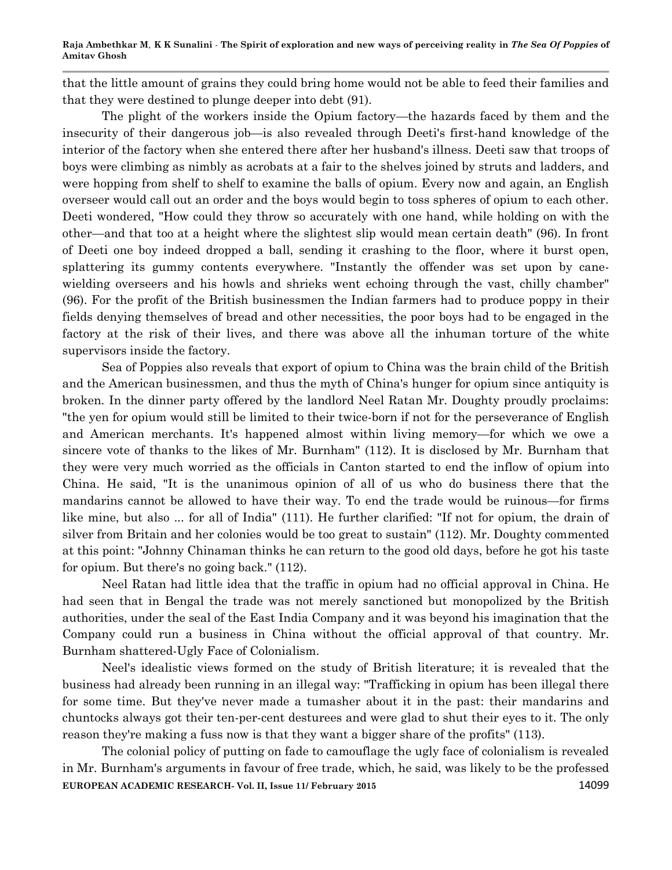that the little amount of grains they could bring home would not be able to feed their families and that they were destined to plunge deeper into debt (91).

The plight of the workers inside the Opium factory—the hazards faced by them and the insecurity of their dangerous job—is also revealed through Deeti's first-hand knowledge of the interior of the factory when she entered there after her husband's illness. Deeti saw that troops of boys were climbing as nimbly as acrobats at a fair to the shelves joined by struts and ladders, and were hopping from shelf to shelf to examine the balls of opium. Every now and again, an English overseer would call out an order and the boys would begin to toss spheres of opium to each other. Deeti wondered, "How could they throw so accurately with one hand, while holding on with the other—and that too at a height where the slightest slip would mean certain death" (96). In front of Deeti one boy indeed dropped a ball, sending it crashing to the floor, where it burst open, splattering its gummy contents everywhere. "Instantly the offender was set upon by canewielding overseers and his howls and shrieks went echoing through the vast, chilly chamber" (96). For the profit of the British businessmen the Indian farmers had to produce poppy in their fields denying themselves of bread and other necessities, the poor boys had to be engaged in the factory at the risk of their lives, and there was above all the inhuman torture of the white supervisors inside the factory.

Sea of Poppies also reveals that export of opium to China was the brain child of the British and the American businessmen, and thus the myth of China's hunger for opium since antiquity is broken. In the dinner party offered by the landlord Neel Ratan Mr. Doughty proudly proclaims: "the yen for opium would still be limited to their twice-born if not for the perseverance of English and American merchants. It's happened almost within living memory—for which we owe a sincere vote of thanks to the likes of Mr. Burnham" (112). It is disclosed by Mr. Burnham that they were very much worried as the officials in Canton started to end the inflow of opium into China. He said, "It is the unanimous opinion of all of us who do business there that the mandarins cannot be allowed to have their way. To end the trade would be ruinous—for firms like mine, but also ... for all of India" (111). He further clarified: "If not for opium, the drain of silver from Britain and her colonies would be too great to sustain" (112). Mr. Doughty commented at this point: "Johnny Chinaman thinks he can return to the good old days, before he got his taste for opium. But there's no going back." (112).

Neel Ratan had little idea that the traffic in opium had no official approval in China. He had seen that in Bengal the trade was not merely sanctioned but monopolized by the British authorities, under the seal of the East India Company and it was beyond his imagination that the Company could run a business in China without the official approval of that country. Mr. Burnham shattered-Ugly Face of Colonialism.

Neel's idealistic views formed on the study of British literature; it is revealed that the business had already been running in an illegal way: "Trafficking in opium has been illegal there for some time. But they've never made a tumasher about it in the past: their mandarins and chuntocks always got their ten-per-cent desturees and were glad to shut their eyes to it. The only reason they're making a fuss now is that they want a bigger share of the profits" (113).

**EUROPEAN ACADEMIC RESEARCH- Vol. II, Issue 11/ February 2015** 14099 The colonial policy of putting on fade to camouflage the ugly face of colonialism is revealed in Mr. Burnham's arguments in favour of free trade, which, he said, was likely to be the professed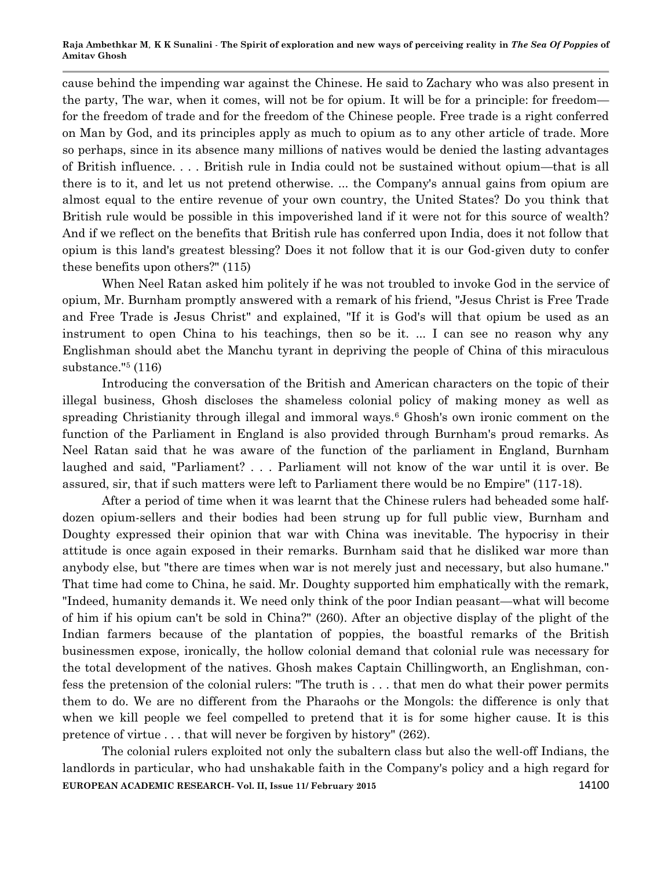cause behind the impending war against the Chinese. He said to Zachary who was also present in the party, The war, when it comes, will not be for opium. It will be for a principle: for freedom for the freedom of trade and for the freedom of the Chinese people. Free trade is a right conferred on Man by God, and its principles apply as much to opium as to any other article of trade. More so perhaps, since in its absence many millions of natives would be denied the lasting advantages of British influence. . . . British rule in India could not be sustained without opium—that is all there is to it, and let us not pretend otherwise. ... the Company's annual gains from opium are almost equal to the entire revenue of your own country, the United States? Do you think that British rule would be possible in this impoverished land if it were not for this source of wealth? And if we reflect on the benefits that British rule has conferred upon India, does it not follow that opium is this land's greatest blessing? Does it not follow that it is our God-given duty to confer these benefits upon others?" (115)

When Neel Ratan asked him politely if he was not troubled to invoke God in the service of opium, Mr. Burnham promptly answered with a remark of his friend, "Jesus Christ is Free Trade and Free Trade is Jesus Christ" and explained, "If it is God's will that opium be used as an instrument to open China to his teachings, then so be it. ... I can see no reason why any Englishman should abet the Manchu tyrant in depriving the people of China of this miraculous substance."<sup>5</sup> (116)

Introducing the conversation of the British and American characters on the topic of their illegal business, Ghosh discloses the shameless colonial policy of making money as well as spreading Christianity through illegal and immoral ways.<sup>6</sup> Ghosh's own ironic comment on the function of the Parliament in England is also provided through Burnham's proud remarks. As Neel Ratan said that he was aware of the function of the parliament in England, Burnham laughed and said, "Parliament? . . . Parliament will not know of the war until it is over. Be assured, sir, that if such matters were left to Parliament there would be no Empire" (117-18).

After a period of time when it was learnt that the Chinese rulers had beheaded some halfdozen opium-sellers and their bodies had been strung up for full public view, Burnham and Doughty expressed their opinion that war with China was inevitable. The hypocrisy in their attitude is once again exposed in their remarks. Burnham said that he disliked war more than anybody else, but "there are times when war is not merely just and necessary, but also humane." That time had come to China, he said. Mr. Doughty supported him emphatically with the remark, "Indeed, humanity demands it. We need only think of the poor Indian peasant—what will become of him if his opium can't be sold in China?" (260). After an objective display of the plight of the Indian farmers because of the plantation of poppies, the boastful remarks of the British businessmen expose, ironically, the hollow colonial demand that colonial rule was necessary for the total development of the natives. Ghosh makes Captain Chillingworth, an Englishman, confess the pretension of the colonial rulers: "The truth is . . . that men do what their power permits them to do. We are no different from the Pharaohs or the Mongols: the difference is only that when we kill people we feel compelled to pretend that it is for some higher cause. It is this pretence of virtue . . . that will never be forgiven by history" (262).

**EUROPEAN ACADEMIC RESEARCH- Vol. II, Issue 11/ February 2015** 14100 The colonial rulers exploited not only the subaltern class but also the well-off Indians, the landlords in particular, who had unshakable faith in the Company's policy and a high regard for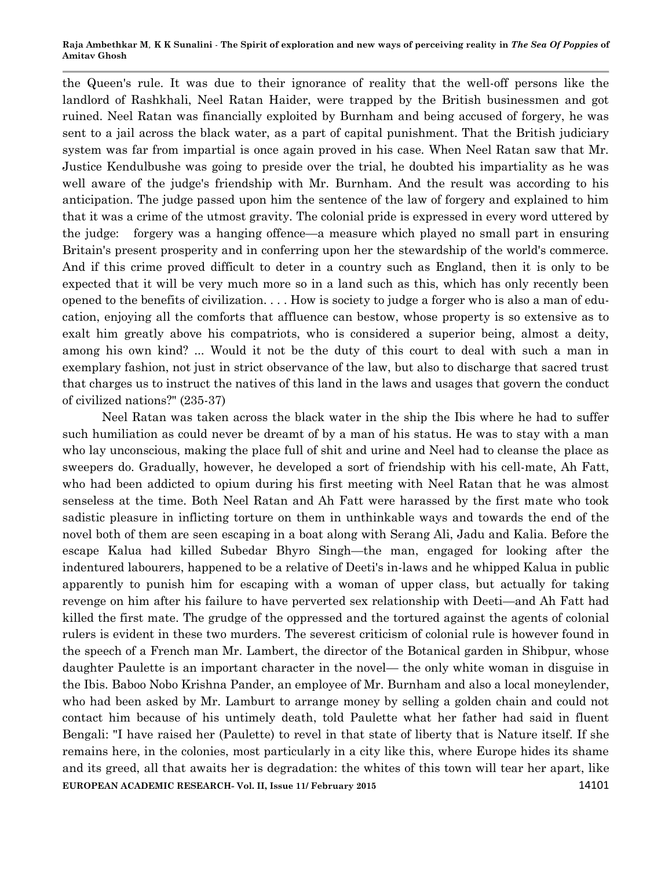#### **Raja Ambethkar M***,* **K K Sunalini** *-* **The Spirit of exploration and new ways of perceiving reality in** *The Sea Of Poppies* **of Amitav Ghosh**

the Queen's rule. It was due to their ignorance of reality that the well-off persons like the landlord of Rashkhali, Neel Ratan Haider, were trapped by the British businessmen and got ruined. Neel Ratan was financially exploited by Burnham and being accused of forgery, he was sent to a jail across the black water, as a part of capital punishment. That the British judiciary system was far from impartial is once again proved in his case. When Neel Ratan saw that Mr. Justice Kendulbushe was going to preside over the trial, he doubted his impartiality as he was well aware of the judge's friendship with Mr. Burnham. And the result was according to his anticipation. The judge passed upon him the sentence of the law of forgery and explained to him that it was a crime of the utmost gravity. The colonial pride is expressed in every word uttered by the judge: forgery was a hanging offence—a measure which played no small part in ensuring Britain's present prosperity and in conferring upon her the stewardship of the world's commerce. And if this crime proved difficult to deter in a country such as England, then it is only to be expected that it will be very much more so in a land such as this, which has only recently been opened to the benefits of civilization. . . . How is society to judge a forger who is also a man of education, enjoying all the comforts that affluence can bestow, whose property is so extensive as to exalt him greatly above his compatriots, who is considered a superior being, almost a deity, among his own kind? ... Would it not be the duty of this court to deal with such a man in exemplary fashion, not just in strict observance of the law, but also to discharge that sacred trust that charges us to instruct the natives of this land in the laws and usages that govern the conduct of civilized nations?" (235-37)

**EUROPEAN ACADEMIC RESEARCH- Vol. II, Issue 11/ February 2015** 14101 Neel Ratan was taken across the black water in the ship the Ibis where he had to suffer such humiliation as could never be dreamt of by a man of his status. He was to stay with a man who lay unconscious, making the place full of shit and urine and Neel had to cleanse the place as sweepers do. Gradually, however, he developed a sort of friendship with his cell-mate, Ah Fatt, who had been addicted to opium during his first meeting with Neel Ratan that he was almost senseless at the time. Both Neel Ratan and Ah Fatt were harassed by the first mate who took sadistic pleasure in inflicting torture on them in unthinkable ways and towards the end of the novel both of them are seen escaping in a boat along with Serang Ali, Jadu and Kalia. Before the escape Kalua had killed Subedar Bhyro Singh—the man, engaged for looking after the indentured labourers, happened to be a relative of Deeti's in-laws and he whipped Kalua in public apparently to punish him for escaping with a woman of upper class, but actually for taking revenge on him after his failure to have perverted sex relationship with Deeti—and Ah Fatt had killed the first mate. The grudge of the oppressed and the tortured against the agents of colonial rulers is evident in these two murders. The severest criticism of colonial rule is however found in the speech of a French man Mr. Lambert, the director of the Botanical garden in Shibpur, whose daughter Paulette is an important character in the novel— the only white woman in disguise in the Ibis. Baboo Nobo Krishna Pander, an employee of Mr. Burnham and also a local moneylender, who had been asked by Mr. Lamburt to arrange money by selling a golden chain and could not contact him because of his untimely death, told Paulette what her father had said in fluent Bengali: "I have raised her (Paulette) to revel in that state of liberty that is Nature itself. If she remains here, in the colonies, most particularly in a city like this, where Europe hides its shame and its greed, all that awaits her is degradation: the whites of this town will tear her apart, like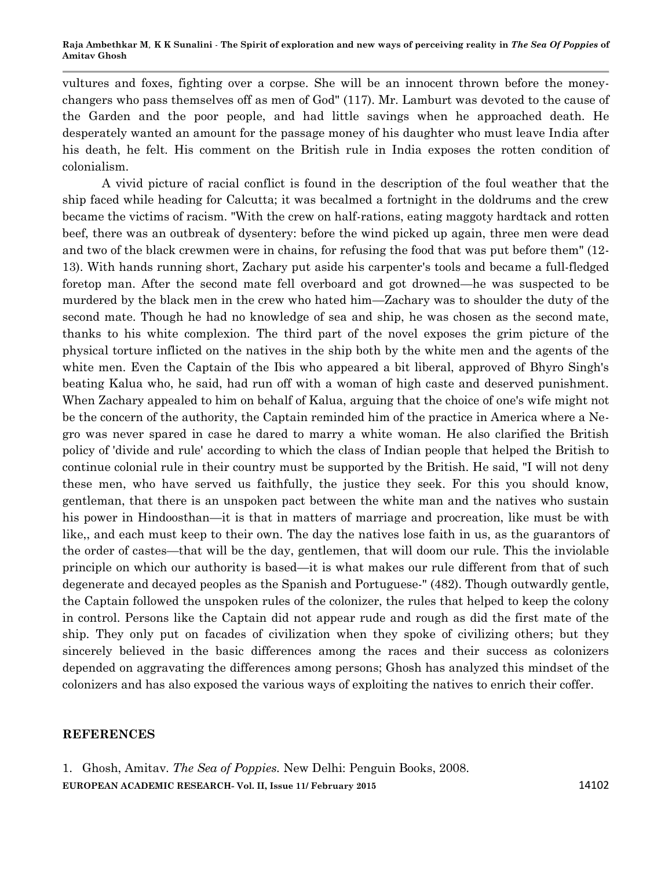vultures and foxes, fighting over a corpse. She will be an innocent thrown before the moneychangers who pass themselves off as men of God" (117). Mr. Lamburt was devoted to the cause of the Garden and the poor people, and had little savings when he approached death. He desperately wanted an amount for the passage money of his daughter who must leave India after his death, he felt. His comment on the British rule in India exposes the rotten condition of colonialism.

A vivid picture of racial conflict is found in the description of the foul weather that the ship faced while heading for Calcutta; it was becalmed a fortnight in the doldrums and the crew became the victims of racism. "With the crew on half-rations, eating maggoty hardtack and rotten beef, there was an outbreak of dysentery: before the wind picked up again, three men were dead and two of the black crewmen were in chains, for refusing the food that was put before them" (12- 13). With hands running short, Zachary put aside his carpenter's tools and became a full-fledged foretop man. After the second mate fell overboard and got drowned—he was suspected to be murdered by the black men in the crew who hated him—Zachary was to shoulder the duty of the second mate. Though he had no knowledge of sea and ship, he was chosen as the second mate, thanks to his white complexion. The third part of the novel exposes the grim picture of the physical torture inflicted on the natives in the ship both by the white men and the agents of the white men. Even the Captain of the Ibis who appeared a bit liberal, approved of Bhyro Singh's beating Kalua who, he said, had run off with a woman of high caste and deserved punishment. When Zachary appealed to him on behalf of Kalua, arguing that the choice of one's wife might not be the concern of the authority, the Captain reminded him of the practice in America where a Negro was never spared in case he dared to marry a white woman. He also clarified the British policy of 'divide and rule' according to which the class of Indian people that helped the British to continue colonial rule in their country must be supported by the British. He said, "I will not deny these men, who have served us faithfully, the justice they seek. For this you should know, gentleman, that there is an unspoken pact between the white man and the natives who sustain his power in Hindoosthan—it is that in matters of marriage and procreation, like must be with like,, and each must keep to their own. The day the natives lose faith in us, as the guarantors of the order of castes—that will be the day, gentlemen, that will doom our rule. This the inviolable principle on which our authority is based—it is what makes our rule different from that of such degenerate and decayed peoples as the Spanish and Portuguese-" (482). Though outwardly gentle, the Captain followed the unspoken rules of the colonizer, the rules that helped to keep the colony in control. Persons like the Captain did not appear rude and rough as did the first mate of the ship. They only put on facades of civilization when they spoke of civilizing others; but they sincerely believed in the basic differences among the races and their success as colonizers depended on aggravating the differences among persons; Ghosh has analyzed this mindset of the colonizers and has also exposed the various ways of exploiting the natives to enrich their coffer.

## **REFERENCES**

**EUROPEAN ACADEMIC RESEARCH- Vol. II, Issue 11/ February 2015** 14102 1. Ghosh, Amitav. *The Sea of Poppies.* New Delhi: Penguin Books, 2008.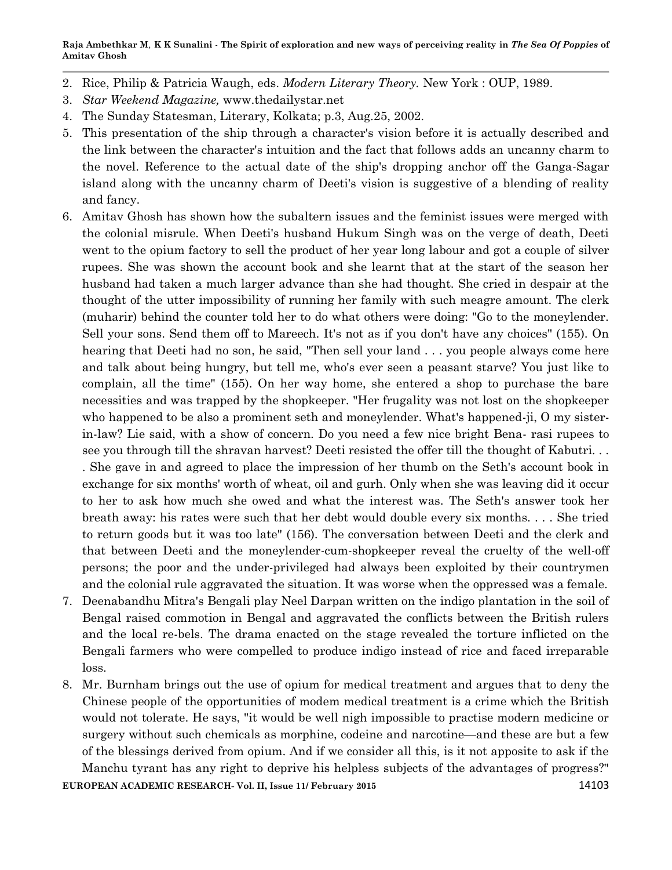**Raja Ambethkar M***,* **K K Sunalini** *-* **The Spirit of exploration and new ways of perceiving reality in** *The Sea Of Poppies* **of Amitav Ghosh**

- 2. Rice, Philip & Patricia Waugh, eds. *Modern Literary Theory.* New York : OUP, 1989.
- 3. *Star Weekend Magazine,* www.thedailystar.net
- 4. The Sunday Statesman, Literary, Kolkata; p.3, Aug.25, 2002.
- 5. This presentation of the ship through a character's vision before it is actually described and the link between the character's intuition and the fact that follows adds an uncanny charm to the novel. Reference to the actual date of the ship's dropping anchor off the Ganga-Sagar island along with the uncanny charm of Deeti's vision is suggestive of a blending of reality and fancy.
- 6. Amitav Ghosh has shown how the subaltern issues and the feminist issues were merged with the colonial misrule. When Deeti's husband Hukum Singh was on the verge of death, Deeti went to the opium factory to sell the product of her year long labour and got a couple of silver rupees. She was shown the account book and she learnt that at the start of the season her husband had taken a much larger advance than she had thought. She cried in despair at the thought of the utter impossibility of running her family with such meagre amount. The clerk (muharir) behind the counter told her to do what others were doing: "Go to the moneylender. Sell your sons. Send them off to Mareech. It's not as if you don't have any choices" (155). On hearing that Deeti had no son, he said, "Then sell your land . . . you people always come here and talk about being hungry, but tell me, who's ever seen a peasant starve? You just like to complain, all the time" (155). On her way home, she entered a shop to purchase the bare necessities and was trapped by the shopkeeper. "Her frugality was not lost on the shopkeeper who happened to be also a prominent seth and moneylender. What's happened-ji, O my sisterin-law? Lie said, with a show of concern. Do you need a few nice bright Bena- rasi rupees to see you through till the shravan harvest? Deeti resisted the offer till the thought of Kabutri. . . . She gave in and agreed to place the impression of her thumb on the Seth's account book in exchange for six months' worth of wheat, oil and gurh. Only when she was leaving did it occur to her to ask how much she owed and what the interest was. The Seth's answer took her breath away: his rates were such that her debt would double every six months. . . . She tried to return goods but it was too late" (156). The conversation between Deeti and the clerk and that between Deeti and the moneylender-cum-shopkeeper reveal the cruelty of the well-off persons; the poor and the under-privileged had always been exploited by their countrymen
- 7. Deenabandhu Mitra's Bengali play Neel Darpan written on the indigo plantation in the soil of Bengal raised commotion in Bengal and aggravated the conflicts between the British rulers and the local re-bels. The drama enacted on the stage revealed the torture inflicted on the Bengali farmers who were compelled to produce indigo instead of rice and faced irreparable loss.

and the colonial rule aggravated the situation. It was worse when the oppressed was a female.

8. Mr. Burnham brings out the use of opium for medical treatment and argues that to deny the Chinese people of the opportunities of modem medical treatment is a crime which the British would not tolerate. He says, "it would be well nigh impossible to practise modern medicine or surgery without such chemicals as morphine, codeine and narcotine—and these are but a few of the blessings derived from opium. And if we consider all this, is it not apposite to ask if the Manchu tyrant has any right to deprive his helpless subjects of the advantages of progress?"

**EUROPEAN ACADEMIC RESEARCH- Vol. II, Issue 11/ February 2015** 14103